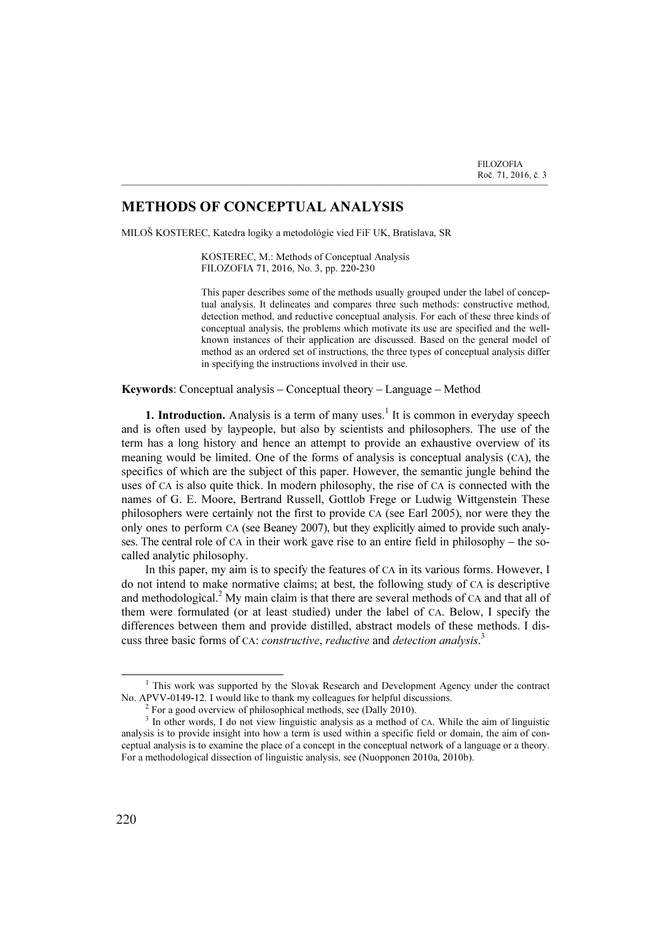## METHODS OF CONCEPTUAL ANALYSIS

MILOŠ KOSTEREC, Katedra logiky a metodológie vied FiF UK, Bratislava, SR

KOSTEREC, M.: Methods of Conceptual Analysis FILOZOFIA 71, 2016, No. 3, pp. 220-230

\_\_\_\_\_\_\_\_\_\_\_\_\_\_\_\_\_\_\_\_\_\_\_\_\_\_\_\_\_\_\_\_\_\_\_\_\_\_\_\_\_\_\_\_\_\_\_\_\_\_\_\_\_\_\_\_\_\_\_\_\_\_\_\_\_\_\_\_\_\_\_\_\_\_\_

This paper describes some of the methods usually grouped under the label of conceptual analysis. It delineates and compares three such methods: constructive method, detection method, and reductive conceptual analysis. For each of these three kinds of conceptual analysis, the problems which motivate its use are specified and the wellknown instances of their application are discussed. Based on the general model of method as an ordered set of instructions, the three types of conceptual analysis differ in specifying the instructions involved in their use.

Keywords: Conceptual analysis – Conceptual theory – Language – Method

**1. Introduction.** Analysis is a term of many uses.<sup>1</sup> It is common in everyday speech and is often used by laypeople, but also by scientists and philosophers. The use of the term has a long history and hence an attempt to provide an exhaustive overview of its meaning would be limited. One of the forms of analysis is conceptual analysis (CA), the specifics of which are the subject of this paper. However, the semantic jungle behind the uses of CA is also quite thick. In modern philosophy, the rise of CA is connected with the names of G. E. Moore, Bertrand Russell, Gottlob Frege or Ludwig Wittgenstein These philosophers were certainly not the first to provide CA (see Earl 2005), nor were they the only ones to perform CA (see Beaney 2007), but they explicitly aimed to provide such analyses. The central role of CA in their work gave rise to an entire field in philosophy – the socalled analytic philosophy.

In this paper, my aim is to specify the features of CA in its various forms. However, I do not intend to make normative claims; at best, the following study of CA is descriptive and methodological.<sup>2</sup> My main claim is that there are several methods of CA and that all of them were formulated (or at least studied) under the label of CA. Below, I specify the differences between them and provide distilled, abstract models of these methods. I discuss three basic forms of CA: *constructive*, *reductive* and *detection analysis*.<sup>3</sup>

<sup>&</sup>lt;sup>1</sup> This work was supported by the Slovak Research and Development Agency under the contract No. APVV-0149-12. I would like to thank my colleagues for helpful discussions. <sup>2</sup>

 $2$  For a good overview of philosophical methods, see (Dally 2010).

<sup>&</sup>lt;sup>3</sup> In other words, I do not view linguistic analysis as a method of CA. While the aim of linguistic analysis is to provide insight into how a term is used within a specific field or domain, the aim of conceptual analysis is to examine the place of a concept in the conceptual network of a language or a theory. For a methodological dissection of linguistic analysis, see (Nuopponen 2010a, 2010b).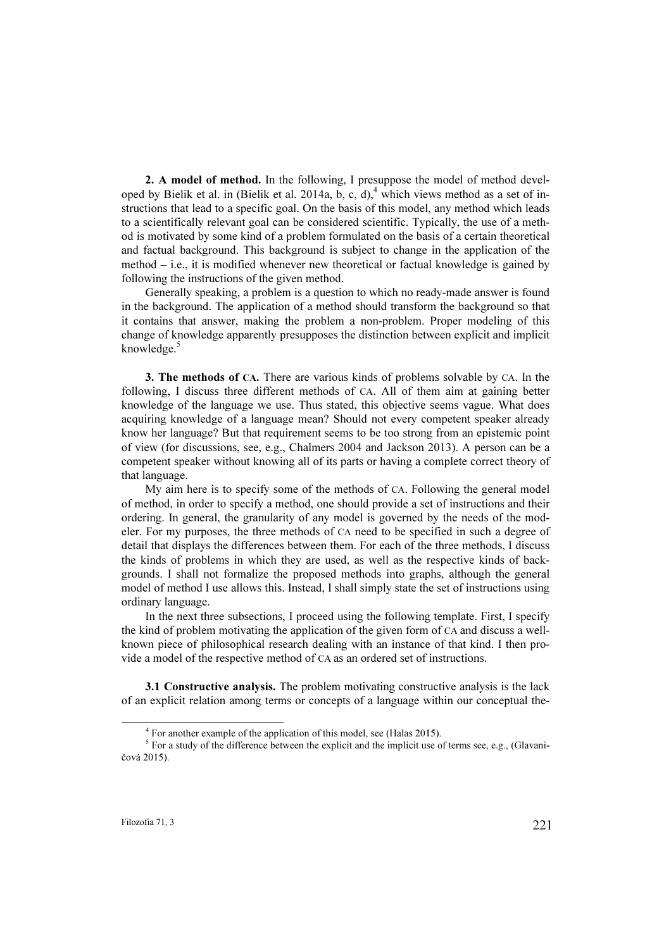2. A model of method. In the following, I presuppose the model of method developed by Bielik et al. in (Bielik et al. 2014a, b, c, d),<sup>4</sup> which views method as a set of instructions that lead to a specific goal. On the basis of this model, any method which leads to a scientifically relevant goal can be considered scientific. Typically, the use of a method is motivated by some kind of a problem formulated on the basis of a certain theoretical and factual background. This background is subject to change in the application of the method – i.e., it is modified whenever new theoretical or factual knowledge is gained by following the instructions of the given method.

Generally speaking, a problem is a question to which no ready-made answer is found in the background. The application of a method should transform the background so that it contains that answer, making the problem a non-problem. Proper modeling of this change of knowledge apparently presupposes the distinction between explicit and implicit knowledge. $5$ 

3. The methods of CA. There are various kinds of problems solvable by CA. In the following, I discuss three different methods of CA. All of them aim at gaining better knowledge of the language we use. Thus stated, this objective seems vague. What does acquiring knowledge of a language mean? Should not every competent speaker already know her language? But that requirement seems to be too strong from an epistemic point of view (for discussions, see, e.g., Chalmers 2004 and Jackson 2013). A person can be a competent speaker without knowing all of its parts or having a complete correct theory of that language.

My aim here is to specify some of the methods of CA. Following the general model of method, in order to specify a method, one should provide a set of instructions and their ordering. In general, the granularity of any model is governed by the needs of the modeler. For my purposes, the three methods of CA need to be specified in such a degree of detail that displays the differences between them. For each of the three methods, I discuss the kinds of problems in which they are used, as well as the respective kinds of backgrounds. I shall not formalize the proposed methods into graphs, although the general model of method I use allows this. Instead, I shall simply state the set of instructions using ordinary language.

In the next three subsections, I proceed using the following template. First, I specify the kind of problem motivating the application of the given form of CA and discuss a wellknown piece of philosophical research dealing with an instance of that kind. I then provide a model of the respective method of CA as an ordered set of instructions.

3.1 Constructive analysis. The problem motivating constructive analysis is the lack of an explicit relation among terms or concepts of a language within our conceptual the-

<sup>4</sup> For another example of the application of this model, see (Halas 2015).

<sup>&</sup>lt;sup>5</sup> For a study of the difference between the explicit and the implicit use of terms see, e.g., (Glavaničová 2015).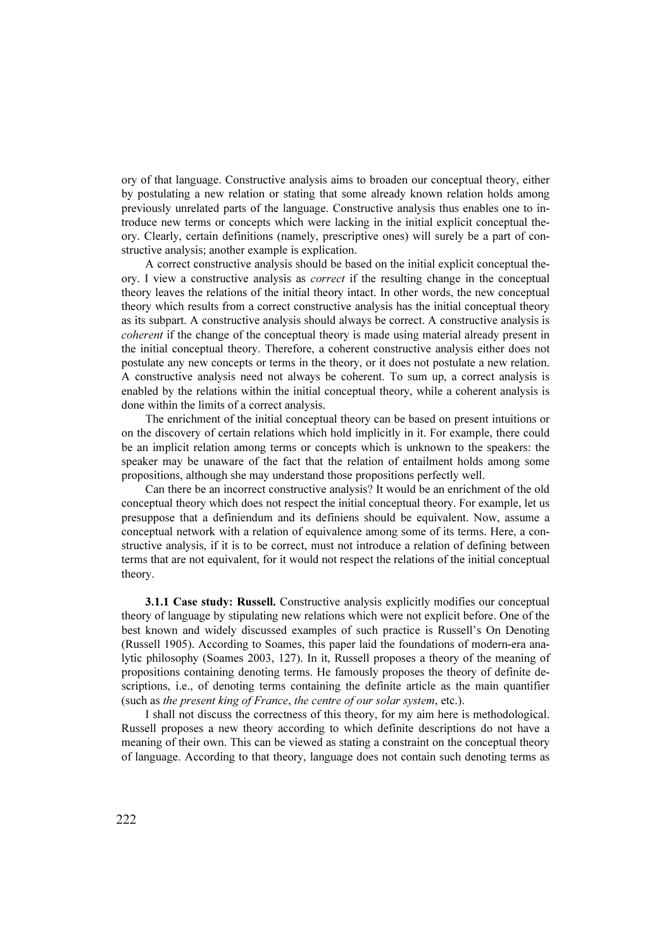ory of that language. Constructive analysis aims to broaden our conceptual theory, either by postulating a new relation or stating that some already known relation holds among previously unrelated parts of the language. Constructive analysis thus enables one to introduce new terms or concepts which were lacking in the initial explicit conceptual theory. Clearly, certain definitions (namely, prescriptive ones) will surely be a part of constructive analysis; another example is explication.

A correct constructive analysis should be based on the initial explicit conceptual theory. I view a constructive analysis as correct if the resulting change in the conceptual theory leaves the relations of the initial theory intact. In other words, the new conceptual theory which results from a correct constructive analysis has the initial conceptual theory as its subpart. A constructive analysis should always be correct. A constructive analysis is coherent if the change of the conceptual theory is made using material already present in the initial conceptual theory. Therefore, a coherent constructive analysis either does not postulate any new concepts or terms in the theory, or it does not postulate a new relation. A constructive analysis need not always be coherent. To sum up, a correct analysis is enabled by the relations within the initial conceptual theory, while a coherent analysis is done within the limits of a correct analysis.

The enrichment of the initial conceptual theory can be based on present intuitions or on the discovery of certain relations which hold implicitly in it. For example, there could be an implicit relation among terms or concepts which is unknown to the speakers: the speaker may be unaware of the fact that the relation of entailment holds among some propositions, although she may understand those propositions perfectly well.

Can there be an incorrect constructive analysis? It would be an enrichment of the old conceptual theory which does not respect the initial conceptual theory. For example, let us presuppose that a definiendum and its definiens should be equivalent. Now, assume a conceptual network with a relation of equivalence among some of its terms. Here, a constructive analysis, if it is to be correct, must not introduce a relation of defining between terms that are not equivalent, for it would not respect the relations of the initial conceptual theory.

3.1.1 Case study: Russell. Constructive analysis explicitly modifies our conceptual theory of language by stipulating new relations which were not explicit before. One of the best known and widely discussed examples of such practice is Russell's On Denoting (Russell 1905). According to Soames, this paper laid the foundations of modern-era analytic philosophy (Soames 2003, 127). In it, Russell proposes a theory of the meaning of propositions containing denoting terms. He famously proposes the theory of definite descriptions, i.e., of denoting terms containing the definite article as the main quantifier (such as the present king of France, the centre of our solar system, etc.).

I shall not discuss the correctness of this theory, for my aim here is methodological. Russell proposes a new theory according to which definite descriptions do not have a meaning of their own. This can be viewed as stating a constraint on the conceptual theory of language. According to that theory, language does not contain such denoting terms as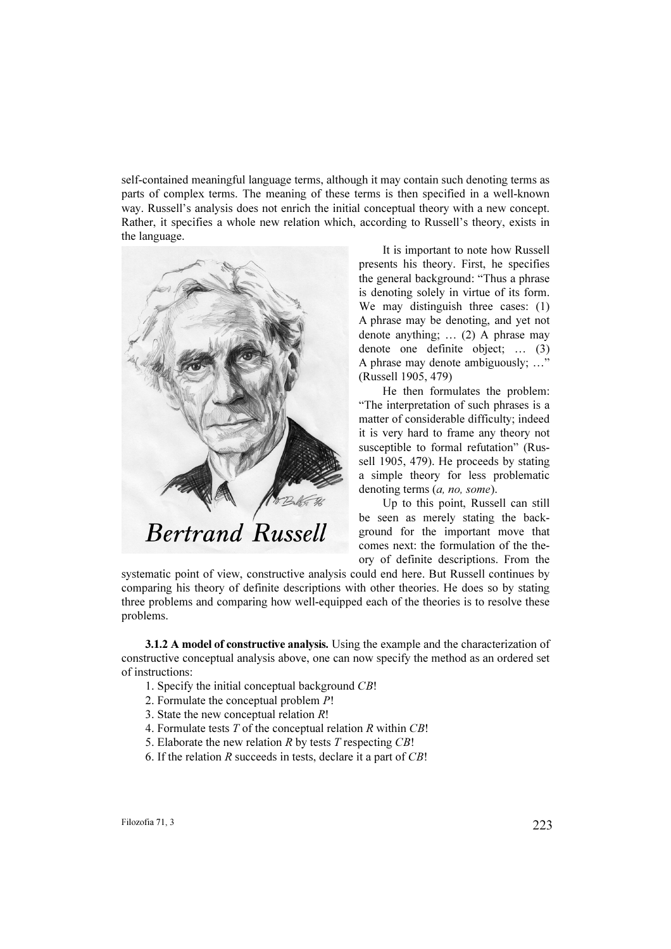self-contained meaningful language terms, although it may contain such denoting terms as parts of complex terms. The meaning of these terms is then specified in a well-known way. Russell's analysis does not enrich the initial conceptual theory with a new concept. Rather, it specifies a whole new relation which, according to Russell's theory, exists in the language.



It is important to note how Russell presents his theory. First, he specifies the general background: "Thus a phrase is denoting solely in virtue of its form. We may distinguish three cases: (1) A phrase may be denoting, and yet not denote anything; … (2) A phrase may denote one definite object; … (3) A phrase may denote ambiguously; …" (Russell 1905, 479)

He then formulates the problem: "The interpretation of such phrases is a matter of considerable difficulty; indeed it is very hard to frame any theory not susceptible to formal refutation" (Russell 1905, 479). He proceeds by stating a simple theory for less problematic denoting terms (*a, no, some*).

Up to this point, Russell can still be seen as merely stating the background for the important move that comes next: the formulation of the theory of definite descriptions. From the

systematic point of view, constructive analysis could end here. But Russell continues by comparing his theory of definite descriptions with other theories. He does so by stating three problems and comparing how well-equipped each of the theories is to resolve these problems.

3.1.2 A model of constructive analysis. Using the example and the characterization of constructive conceptual analysis above, one can now specify the method as an ordered set of instructions:

- 1. Specify the initial conceptual background CB!
- 2. Formulate the conceptual problem P!
- 3. State the new conceptual relation R!
- 4. Formulate tests  $T$  of the conceptual relation  $R$  within  $CB!$
- 5. Elaborate the new relation R by tests  $T$  respecting  $CB!$
- 6. If the relation  $R$  succeeds in tests, declare it a part of  $CB!$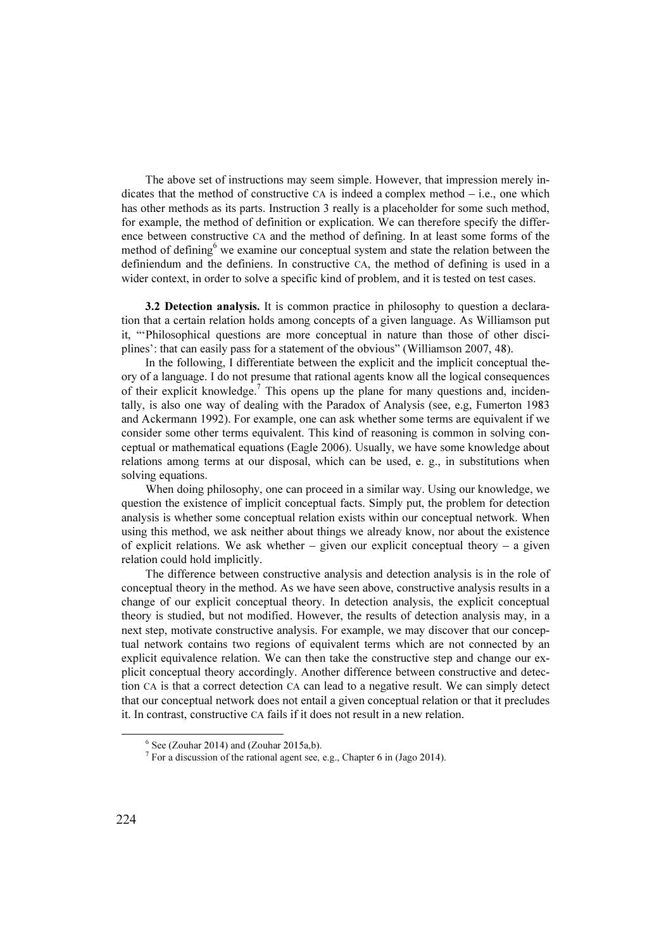The above set of instructions may seem simple. However, that impression merely indicates that the method of constructive CA is indeed a complex method  $-$  i.e., one which has other methods as its parts. Instruction 3 really is a placeholder for some such method, for example, the method of definition or explication. We can therefore specify the difference between constructive CA and the method of defining. In at least some forms of the method of defining  $6$  we examine our conceptual system and state the relation between the definiendum and the definiens. In constructive CA, the method of defining is used in a wider context, in order to solve a specific kind of problem, and it is tested on test cases.

3.2 Detection analysis. It is common practice in philosophy to question a declaration that a certain relation holds among concepts of a given language. As Williamson put it, "'Philosophical questions are more conceptual in nature than those of other disciplines': that can easily pass for a statement of the obvious" (Williamson 2007, 48).

In the following, I differentiate between the explicit and the implicit conceptual theory of a language. I do not presume that rational agents know all the logical consequences of their explicit knowledge.<sup>7</sup> This opens up the plane for many questions and, incidentally, is also one way of dealing with the Paradox of Analysis (see, e.g, Fumerton 1983 and Ackermann 1992). For example, one can ask whether some terms are equivalent if we consider some other terms equivalent. This kind of reasoning is common in solving conceptual or mathematical equations (Eagle 2006). Usually, we have some knowledge about relations among terms at our disposal, which can be used, e. g., in substitutions when solving equations.

When doing philosophy, one can proceed in a similar way. Using our knowledge, we question the existence of implicit conceptual facts. Simply put, the problem for detection analysis is whether some conceptual relation exists within our conceptual network. When using this method, we ask neither about things we already know, nor about the existence of explicit relations. We ask whether – given our explicit conceptual theory – a given relation could hold implicitly.

The difference between constructive analysis and detection analysis is in the role of conceptual theory in the method. As we have seen above, constructive analysis results in a change of our explicit conceptual theory. In detection analysis, the explicit conceptual theory is studied, but not modified. However, the results of detection analysis may, in a next step, motivate constructive analysis. For example, we may discover that our conceptual network contains two regions of equivalent terms which are not connected by an explicit equivalence relation. We can then take the constructive step and change our explicit conceptual theory accordingly. Another difference between constructive and detection CA is that a correct detection CA can lead to a negative result. We can simply detect that our conceptual network does not entail a given conceptual relation or that it precludes it. In contrast, constructive CA fails if it does not result in a new relation.

<sup>6</sup> See (Zouhar 2014) and (Zouhar 2015a,b).

<sup>&</sup>lt;sup>7</sup> For a discussion of the rational agent see, e.g., Chapter 6 in (Jago 2014).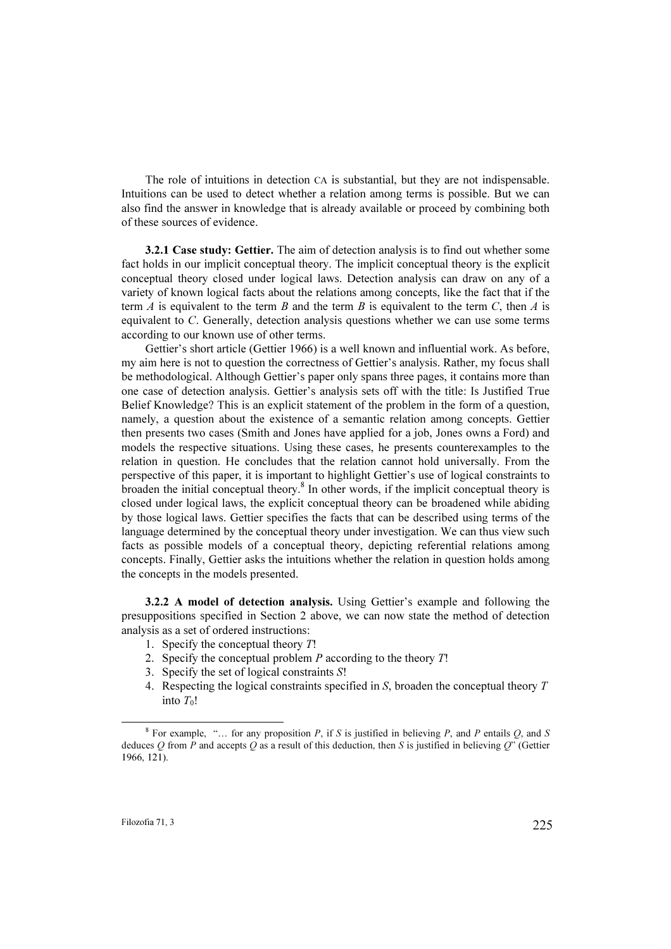The role of intuitions in detection CA is substantial, but they are not indispensable. Intuitions can be used to detect whether a relation among terms is possible. But we can also find the answer in knowledge that is already available or proceed by combining both of these sources of evidence.

3.2.1 Case study: Gettier. The aim of detection analysis is to find out whether some fact holds in our implicit conceptual theory. The implicit conceptual theory is the explicit conceptual theory closed under logical laws. Detection analysis can draw on any of a variety of known logical facts about the relations among concepts, like the fact that if the term A is equivalent to the term B and the term B is equivalent to the term C, then A is equivalent to C. Generally, detection analysis questions whether we can use some terms according to our known use of other terms.

Gettier's short article (Gettier 1966) is a well known and influential work. As before, my aim here is not to question the correctness of Gettier's analysis. Rather, my focus shall be methodological. Although Gettier's paper only spans three pages, it contains more than one case of detection analysis. Gettier's analysis sets off with the title: Is Justified True Belief Knowledge? This is an explicit statement of the problem in the form of a question, namely, a question about the existence of a semantic relation among concepts. Gettier then presents two cases (Smith and Jones have applied for a job, Jones owns a Ford) and models the respective situations. Using these cases, he presents counterexamples to the relation in question. He concludes that the relation cannot hold universally. From the perspective of this paper, it is important to highlight Gettier's use of logical constraints to  $\frac{1}{2}$  broaden the initial conceptual theory.<sup>8</sup> In other words, if the implicit conceptual theory is closed under logical laws, the explicit conceptual theory can be broadened while abiding by those logical laws. Gettier specifies the facts that can be described using terms of the language determined by the conceptual theory under investigation. We can thus view such facts as possible models of a conceptual theory, depicting referential relations among concepts. Finally, Gettier asks the intuitions whether the relation in question holds among the concepts in the models presented.

3.2.2 A model of detection analysis. Using Gettier's example and following the presuppositions specified in Section 2 above, we can now state the method of detection analysis as a set of ordered instructions:

- 1. Specify the conceptual theory  $T!$
- 2. Specify the conceptual problem  $P$  according to the theory  $T!$
- 3. Specify the set of logical constraints S!
- 4. Respecting the logical constraints specified in S, broaden the conceptual theory T into  $T_0!$

<sup>&</sup>lt;sup>8</sup> For example, "... for any proposition P, if S is justified in believing P, and P entails Q, and S deduces  $Q$  from P and accepts  $Q$  as a result of this deduction, then S is justified in believing  $Q$ " (Gettier 1966, 121).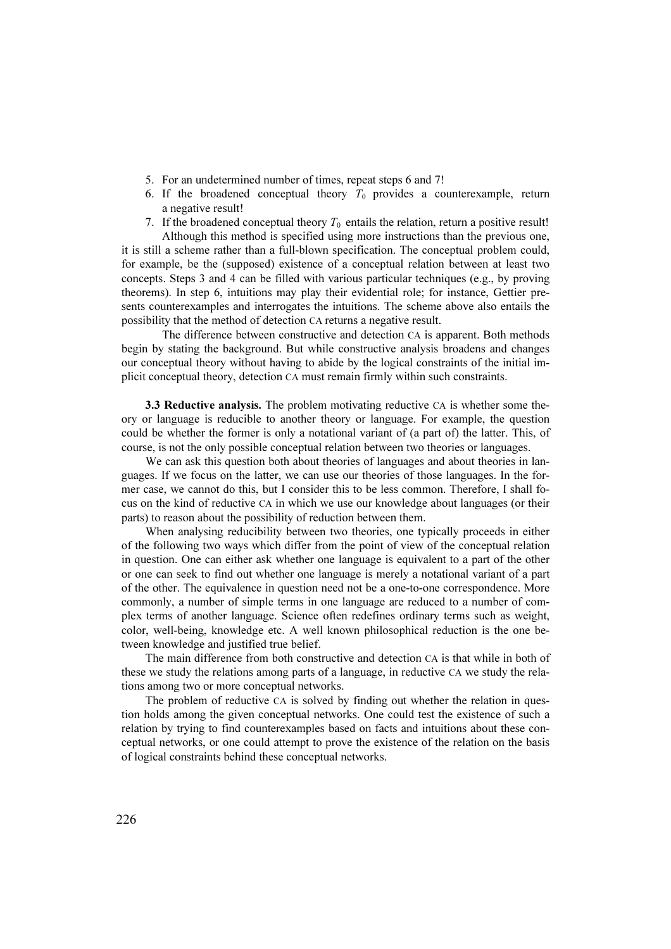- 5. For an undetermined number of times, repeat steps 6 and 7!
- 6. If the broadened conceptual theory  $T_0$  provides a counterexample, return a negative result!
- 7. If the broadened conceptual theory  $T_0$  entails the relation, return a positive result! Although this method is specified using more instructions than the previous one,

it is still a scheme rather than a full-blown specification. The conceptual problem could, for example, be the (supposed) existence of a conceptual relation between at least two concepts. Steps 3 and 4 can be filled with various particular techniques (e.g., by proving theorems). In step 6, intuitions may play their evidential role; for instance, Gettier presents counterexamples and interrogates the intuitions. The scheme above also entails the possibility that the method of detection CA returns a negative result.

 The difference between constructive and detection CA is apparent. Both methods begin by stating the background. But while constructive analysis broadens and changes our conceptual theory without having to abide by the logical constraints of the initial implicit conceptual theory, detection CA must remain firmly within such constraints.

**3.3 Reductive analysis.** The problem motivating reductive CA is whether some theory or language is reducible to another theory or language. For example, the question could be whether the former is only a notational variant of (a part of) the latter. This, of course, is not the only possible conceptual relation between two theories or languages.

We can ask this question both about theories of languages and about theories in languages. If we focus on the latter, we can use our theories of those languages. In the former case, we cannot do this, but I consider this to be less common. Therefore, I shall focus on the kind of reductive CA in which we use our knowledge about languages (or their parts) to reason about the possibility of reduction between them.

When analysing reducibility between two theories, one typically proceeds in either of the following two ways which differ from the point of view of the conceptual relation in question. One can either ask whether one language is equivalent to a part of the other or one can seek to find out whether one language is merely a notational variant of a part of the other. The equivalence in question need not be a one-to-one correspondence. More commonly, a number of simple terms in one language are reduced to a number of complex terms of another language. Science often redefines ordinary terms such as weight, color, well-being, knowledge etc. A well known philosophical reduction is the one between knowledge and justified true belief.

The main difference from both constructive and detection CA is that while in both of these we study the relations among parts of a language, in reductive CA we study the relations among two or more conceptual networks.

The problem of reductive CA is solved by finding out whether the relation in question holds among the given conceptual networks. One could test the existence of such a relation by trying to find counterexamples based on facts and intuitions about these conceptual networks, or one could attempt to prove the existence of the relation on the basis of logical constraints behind these conceptual networks.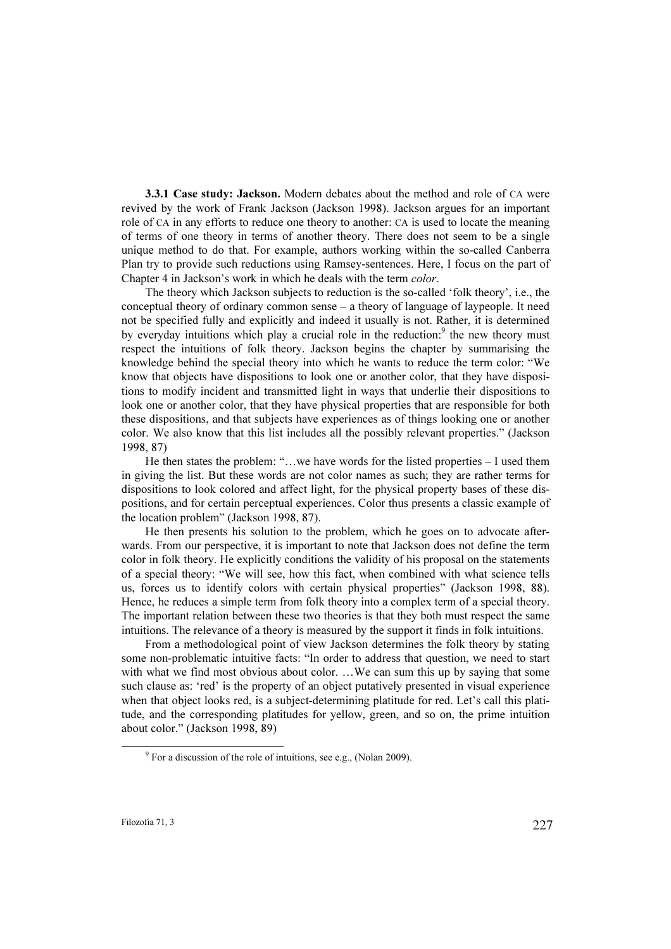3.3.1 Case study: Jackson. Modern debates about the method and role of CA were revived by the work of Frank Jackson (Jackson 1998). Jackson argues for an important role of CA in any efforts to reduce one theory to another: CA is used to locate the meaning of terms of one theory in terms of another theory. There does not seem to be a single unique method to do that. For example, authors working within the so-called Canberra Plan try to provide such reductions using Ramsey-sentences. Here, I focus on the part of Chapter 4 in Jackson's work in which he deals with the term color.

The theory which Jackson subjects to reduction is the so-called 'folk theory', i.e., the conceptual theory of ordinary common sense – a theory of language of laypeople. It need not be specified fully and explicitly and indeed it usually is not. Rather, it is determined by everyday intuitions which play a crucial role in the reduction: $9$  the new theory must respect the intuitions of folk theory. Jackson begins the chapter by summarising the knowledge behind the special theory into which he wants to reduce the term color: "We know that objects have dispositions to look one or another color, that they have dispositions to modify incident and transmitted light in ways that underlie their dispositions to look one or another color, that they have physical properties that are responsible for both these dispositions, and that subjects have experiences as of things looking one or another color. We also know that this list includes all the possibly relevant properties." (Jackson 1998, 87)

He then states the problem: "…we have words for the listed properties – I used them in giving the list. But these words are not color names as such; they are rather terms for dispositions to look colored and affect light, for the physical property bases of these dispositions, and for certain perceptual experiences. Color thus presents a classic example of the location problem" (Jackson 1998, 87).

He then presents his solution to the problem, which he goes on to advocate afterwards. From our perspective, it is important to note that Jackson does not define the term color in folk theory. He explicitly conditions the validity of his proposal on the statements of a special theory: "We will see, how this fact, when combined with what science tells us, forces us to identify colors with certain physical properties" (Jackson 1998, 88). Hence, he reduces a simple term from folk theory into a complex term of a special theory. The important relation between these two theories is that they both must respect the same intuitions. The relevance of a theory is measured by the support it finds in folk intuitions.

From a methodological point of view Jackson determines the folk theory by stating some non-problematic intuitive facts: "In order to address that question, we need to start with what we find most obvious about color. ... We can sum this up by saying that some such clause as: 'red' is the property of an object putatively presented in visual experience when that object looks red, is a subject-determining platitude for red. Let's call this platitude, and the corresponding platitudes for yellow, green, and so on, the prime intuition about color." (Jackson 1998, 89)

<sup>9</sup> For a discussion of the role of intuitions, see e.g., (Nolan 2009).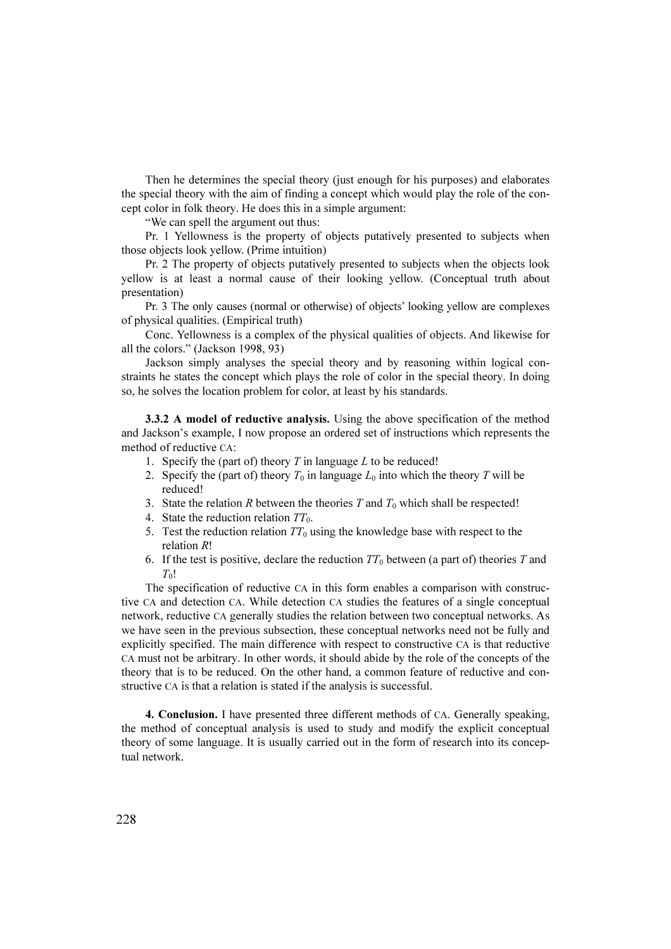Then he determines the special theory (just enough for his purposes) and elaborates the special theory with the aim of finding a concept which would play the role of the concept color in folk theory. He does this in a simple argument:

"We can spell the argument out thus:

Pr. 1 Yellowness is the property of objects putatively presented to subjects when those objects look yellow. (Prime intuition)

Pr. 2 The property of objects putatively presented to subjects when the objects look yellow is at least a normal cause of their looking yellow. (Conceptual truth about presentation)

Pr. 3 The only causes (normal or otherwise) of objects' looking yellow are complexes of physical qualities. (Empirical truth)

Conc. Yellowness is a complex of the physical qualities of objects. And likewise for all the colors." (Jackson 1998, 93)

Jackson simply analyses the special theory and by reasoning within logical constraints he states the concept which plays the role of color in the special theory. In doing so, he solves the location problem for color, at least by his standards.

**3.3.2 A model of reductive analysis.** Using the above specification of the method and Jackson's example, I now propose an ordered set of instructions which represents the method of reductive CA:

- 1. Specify the (part of) theory  $T$  in language  $L$  to be reduced!
- 2. Specify the (part of) theory  $T_0$  in language  $L_0$  into which the theory T will be reduced!
- 3. State the relation R between the theories T and  $T_0$  which shall be respected!
- 4. State the reduction relation  $TT_0$ .
- 5. Test the reduction relation  $TT_0$  using the knowledge base with respect to the relation R!
- 6. If the test is positive, declare the reduction  $TT_0$  between (a part of) theories T and  $T_0!$

The specification of reductive CA in this form enables a comparison with constructive CA and detection CA. While detection CA studies the features of a single conceptual network, reductive CA generally studies the relation between two conceptual networks. As we have seen in the previous subsection, these conceptual networks need not be fully and explicitly specified. The main difference with respect to constructive CA is that reductive CA must not be arbitrary. In other words, it should abide by the role of the concepts of the theory that is to be reduced. On the other hand, a common feature of reductive and constructive CA is that a relation is stated if the analysis is successful.

4. Conclusion. I have presented three different methods of CA. Generally speaking, the method of conceptual analysis is used to study and modify the explicit conceptual theory of some language. It is usually carried out in the form of research into its conceptual network.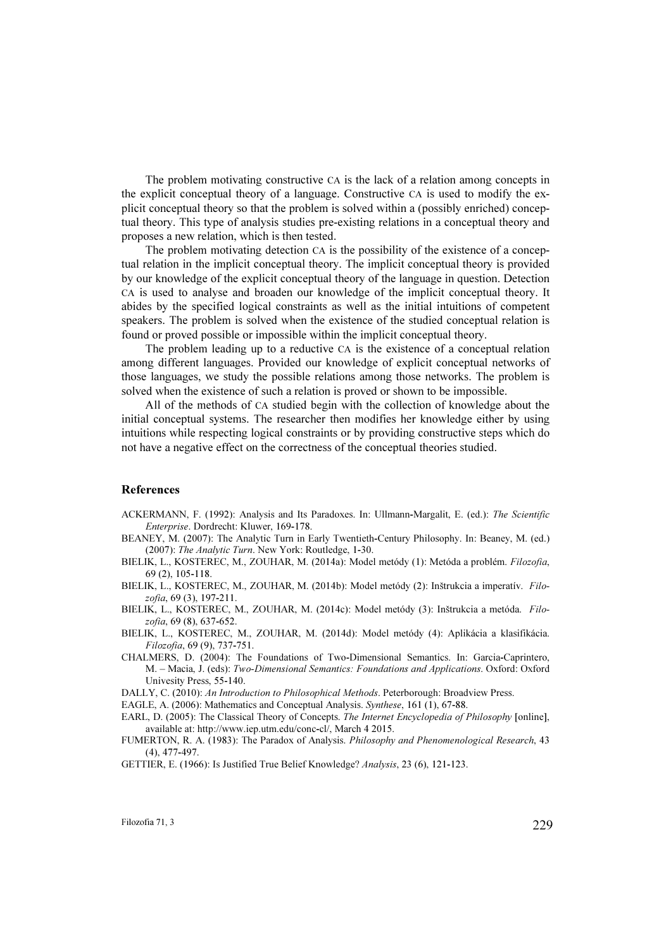The problem motivating constructive CA is the lack of a relation among concepts in the explicit conceptual theory of a language. Constructive CA is used to modify the explicit conceptual theory so that the problem is solved within a (possibly enriched) conceptual theory. This type of analysis studies pre-existing relations in a conceptual theory and proposes a new relation, which is then tested.

The problem motivating detection CA is the possibility of the existence of a conceptual relation in the implicit conceptual theory. The implicit conceptual theory is provided by our knowledge of the explicit conceptual theory of the language in question. Detection CA is used to analyse and broaden our knowledge of the implicit conceptual theory. It abides by the specified logical constraints as well as the initial intuitions of competent speakers. The problem is solved when the existence of the studied conceptual relation is found or proved possible or impossible within the implicit conceptual theory.

The problem leading up to a reductive CA is the existence of a conceptual relation among different languages. Provided our knowledge of explicit conceptual networks of those languages, we study the possible relations among those networks. The problem is solved when the existence of such a relation is proved or shown to be impossible.

All of the methods of CA studied begin with the collection of knowledge about the initial conceptual systems. The researcher then modifies her knowledge either by using intuitions while respecting logical constraints or by providing constructive steps which do not have a negative effect on the correctness of the conceptual theories studied.

## References

- ACKERMANN, F. (1992): Analysis and Its Paradoxes. In: Ullmann-Margalit, E. (ed.): The Scientific Enterprise. Dordrecht: Kluwer, 169-178.
- BEANEY, M. (2007): The Analytic Turn in Early Twentieth-Century Philosophy. In: Beaney, M. (ed.) (2007): The Analytic Turn. New York: Routledge, 1-30.
- BIELIK, L., KOSTEREC, M., ZOUHAR, M. (2014a): Model metódy (1): Metóda a problém. Filozofia, 69 (2), 105-118.
- BIELIK, L., KOSTEREC, M., ZOUHAR, M. (2014b): Model metódy (2): Inštrukcia a imperatív. Filozofia, 69 (3), 197-211.
- BIELIK, L., KOSTEREC, M., ZOUHAR, M. (2014c): Model metódy (3): Inštrukcia a metóda. Filozofia, 69 (8), 637-652.
- BIELIK, L., KOSTEREC, M., ZOUHAR, M. (2014d): Model metódy (4): Aplikácia a klasifikácia. Filozofia, 69 (9), 737-751.
- CHALMERS, D. (2004): The Foundations of Two-Dimensional Semantics. In: Garcia-Caprintero, M. – Macia, J. (eds): Two-Dimensional Semantics: Foundations and Applications. Oxford: Oxford Univesity Press, 55-140.

DALLY, C. (2010): An Introduction to Philosophical Methods. Peterborough: Broadview Press.

EAGLE, A. (2006): Mathematics and Conceptual Analysis. Synthese, 161 (1), 67-88.

- EARL, D. (2005): The Classical Theory of Concepts. The Internet Encyclopedia of Philosophy [online], available at: http://www.iep.utm.edu/conc-cl/, March 4 2015.
- FUMERTON, R. A. (1983): The Paradox of Analysis. Philosophy and Phenomenological Research, 43 (4), 477-497.

GETTIER, E. (1966): Is Justified True Belief Knowledge? Analysis, 23 (6), 121-123.